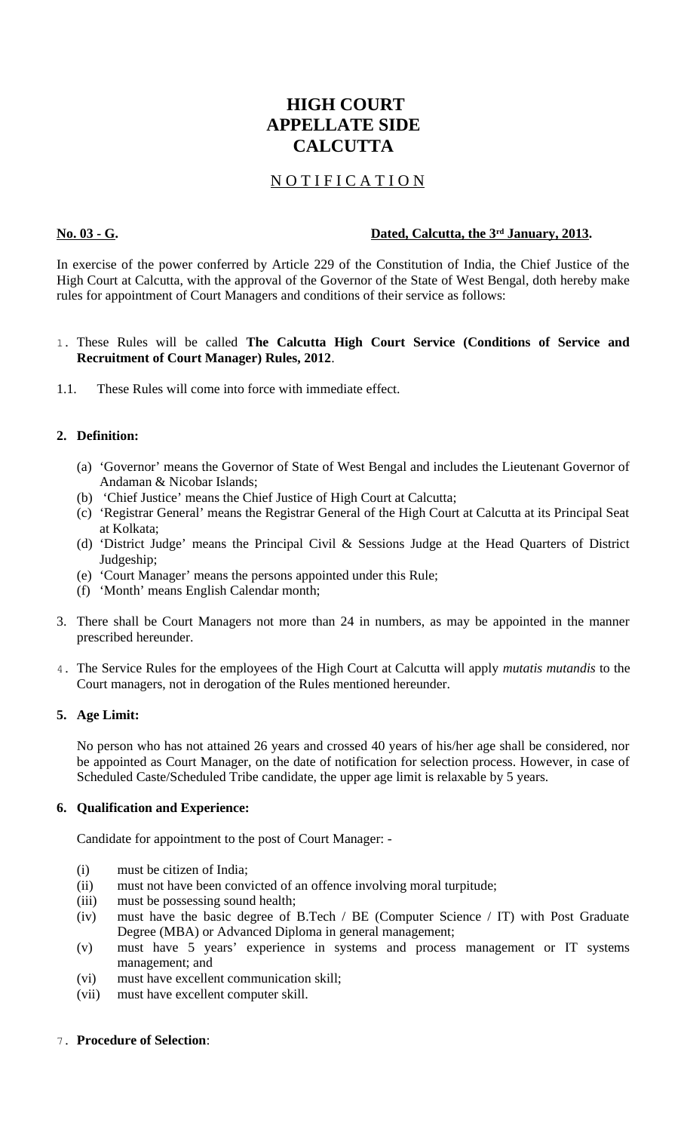# **HIGH COURT APPELLATE SIDE CALCUTTA**

# N O T I F I C A T I O N

# **No. 03 - G. Dated, Calcutta, the 3rd January, 2013.**

In exercise of the power conferred by Article 229 of the Constitution of India, the Chief Justice of the High Court at Calcutta, with the approval of the Governor of the State of West Bengal, doth hereby make rules for appointment of Court Managers and conditions of their service as follows:

# 1. These Rules will be called **The Calcutta High Court Service (Conditions of Service and Recruitment of Court Manager) Rules, 2012**.

1.1. These Rules will come into force with immediate effect.

# **2. Definition:**

- (a) 'Governor' means the Governor of State of West Bengal and includes the Lieutenant Governor of Andaman & Nicobar Islands;
- (b) 'Chief Justice' means the Chief Justice of High Court at Calcutta;
- (c) 'Registrar General' means the Registrar General of the High Court at Calcutta at its Principal Seat at Kolkata;
- (d) 'District Judge' means the Principal Civil & Sessions Judge at the Head Quarters of District Judgeship;
- (e) 'Court Manager' means the persons appointed under this Rule;
- (f) 'Month' means English Calendar month;
- 3. There shall be Court Managers not more than 24 in numbers, as may be appointed in the manner prescribed hereunder.
- 4. The Service Rules for the employees of the High Court at Calcutta will apply *mutatis mutandis* to the Court managers, not in derogation of the Rules mentioned hereunder.

# **5. Age Limit:**

No person who has not attained 26 years and crossed 40 years of his/her age shall be considered, nor be appointed as Court Manager, on the date of notification for selection process. However, in case of Scheduled Caste/Scheduled Tribe candidate, the upper age limit is relaxable by 5 years.

# **6. Qualification and Experience:**

Candidate for appointment to the post of Court Manager: -

- (i) must be citizen of India;
- (ii) must not have been convicted of an offence involving moral turpitude;
- (iii) must be possessing sound health;
- (iv) must have the basic degree of B.Tech / BE (Computer Science / IT) with Post Graduate Degree (MBA) or Advanced Diploma in general management;
- (v) must have 5 years' experience in systems and process management or IT systems management; and
- (vi) must have excellent communication skill;
- (vii) must have excellent computer skill.

# 7. **Procedure of Selection**: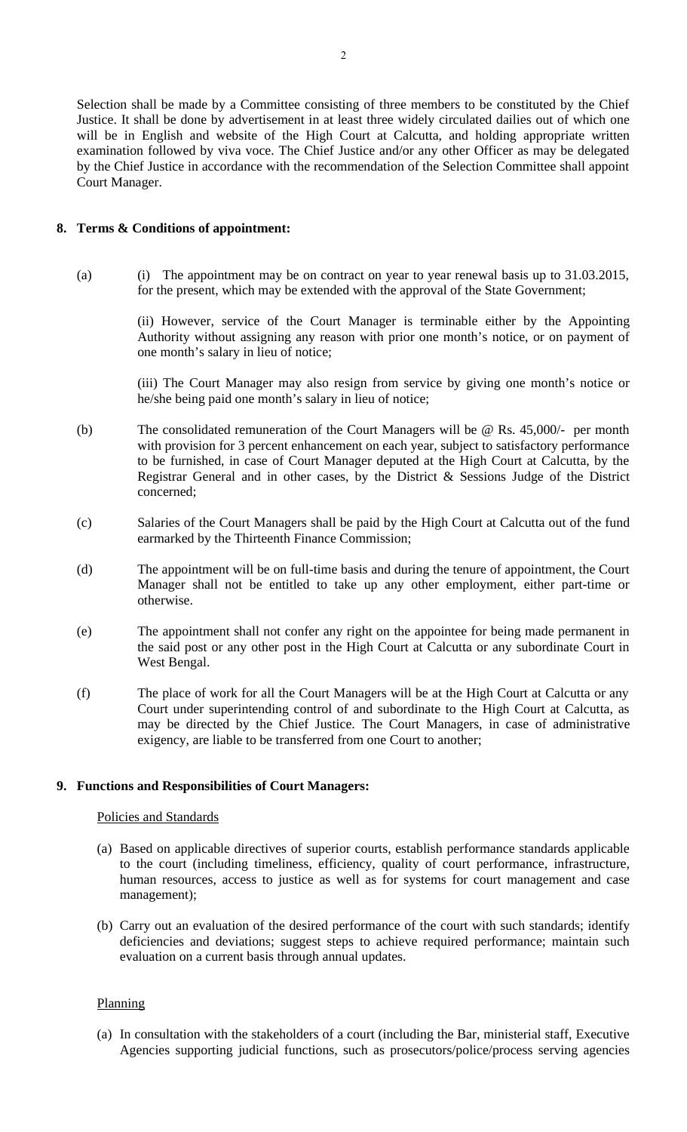Selection shall be made by a Committee consisting of three members to be constituted by the Chief Justice. It shall be done by advertisement in at least three widely circulated dailies out of which one will be in English and website of the High Court at Calcutta, and holding appropriate written examination followed by viva voce. The Chief Justice and/or any other Officer as may be delegated by the Chief Justice in accordance with the recommendation of the Selection Committee shall appoint Court Manager.

#### **8. Terms & Conditions of appointment:**

(a) (i) The appointment may be on contract on year to year renewal basis up to 31.03.2015, for the present, which may be extended with the approval of the State Government;

> (ii) However, service of the Court Manager is terminable either by the Appointing Authority without assigning any reason with prior one month's notice, or on payment of one month's salary in lieu of notice;

> (iii) The Court Manager may also resign from service by giving one month's notice or he/she being paid one month's salary in lieu of notice;

- (b) The consolidated remuneration of the Court Managers will be @ Rs. 45,000/- per month with provision for 3 percent enhancement on each year, subject to satisfactory performance to be furnished, in case of Court Manager deputed at the High Court at Calcutta, by the Registrar General and in other cases, by the District & Sessions Judge of the District concerned;
- (c) Salaries of the Court Managers shall be paid by the High Court at Calcutta out of the fund earmarked by the Thirteenth Finance Commission;
- (d) The appointment will be on full-time basis and during the tenure of appointment, the Court Manager shall not be entitled to take up any other employment, either part-time or otherwise.
- (e) The appointment shall not confer any right on the appointee for being made permanent in the said post or any other post in the High Court at Calcutta or any subordinate Court in West Bengal.
- (f) The place of work for all the Court Managers will be at the High Court at Calcutta or any Court under superintending control of and subordinate to the High Court at Calcutta, as may be directed by the Chief Justice. The Court Managers, in case of administrative exigency, are liable to be transferred from one Court to another;

#### **9. Functions and Responsibilities of Court Managers:**

#### Policies and Standards

- (a) Based on applicable directives of superior courts, establish performance standards applicable to the court (including timeliness, efficiency, quality of court performance, infrastructure, human resources, access to justice as well as for systems for court management and case management);
- (b) Carry out an evaluation of the desired performance of the court with such standards; identify deficiencies and deviations; suggest steps to achieve required performance; maintain such evaluation on a current basis through annual updates.

## **Planning**

(a) In consultation with the stakeholders of a court (including the Bar, ministerial staff, Executive Agencies supporting judicial functions, such as prosecutors/police/process serving agencies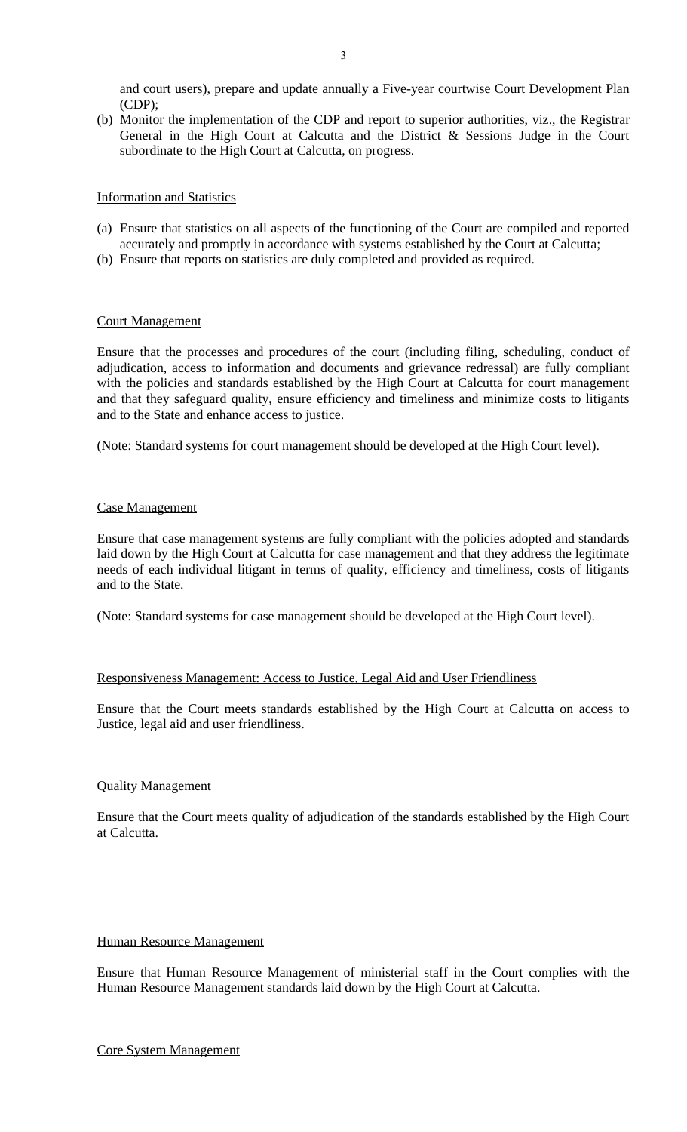and court users), prepare and update annually a Five-year courtwise Court Development Plan (CDP);

(b) Monitor the implementation of the CDP and report to superior authorities, viz., the Registrar General in the High Court at Calcutta and the District & Sessions Judge in the Court subordinate to the High Court at Calcutta, on progress.

### Information and Statistics

- (a) Ensure that statistics on all aspects of the functioning of the Court are compiled and reported accurately and promptly in accordance with systems established by the Court at Calcutta;
- (b) Ensure that reports on statistics are duly completed and provided as required.

### Court Management

Ensure that the processes and procedures of the court (including filing, scheduling, conduct of adjudication, access to information and documents and grievance redressal) are fully compliant with the policies and standards established by the High Court at Calcutta for court management and that they safeguard quality, ensure efficiency and timeliness and minimize costs to litigants and to the State and enhance access to justice.

(Note: Standard systems for court management should be developed at the High Court level).

### Case Management

Ensure that case management systems are fully compliant with the policies adopted and standards laid down by the High Court at Calcutta for case management and that they address the legitimate needs of each individual litigant in terms of quality, efficiency and timeliness, costs of litigants and to the State.

(Note: Standard systems for case management should be developed at the High Court level).

# Responsiveness Management: Access to Justice, Legal Aid and User Friendliness

Ensure that the Court meets standards established by the High Court at Calcutta on access to Justice, legal aid and user friendliness.

# Quality Management

Ensure that the Court meets quality of adjudication of the standards established by the High Court at Calcutta.

#### Human Resource Management

Ensure that Human Resource Management of ministerial staff in the Court complies with the Human Resource Management standards laid down by the High Court at Calcutta.